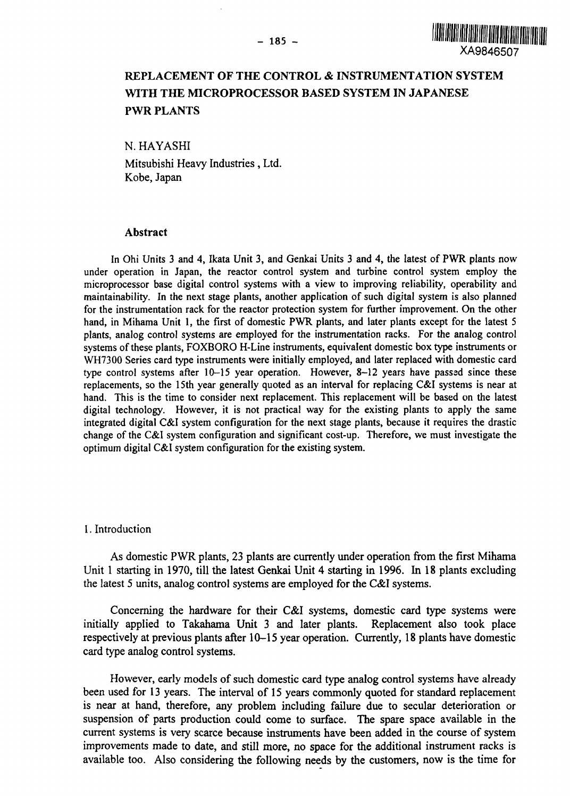

## REPLACEMENT OF THE CONTROL *&* INSTRUMENTATION SYSTEM WITH THE MICROPROCESSOR BASED SYSTEM IN JAPANESE PWR PLANTS

N. HAYASHI

Mitsubishi Heavy Industries, Ltd. Kobe, Japan

#### Abstract

In Ohi Units 3 and 4, Ikata Unit 3, and Genkai Units 3 and 4, the latest of PWR plants now under operation in Japan, the reactor control system and turbine control system employ the microprocessor base digital control systems with a view to improving reliability, operability and maintainability. In the next stage plants, another application of such digital system is also planned for the instrumentation rack for the reactor protection system for further improvement. On the other hand, in Mihama Unit 1, the first of domestic PWR plants, and later plants except for the latest 5 plants, analog control systems are employed for the instrumentation racks. For the analog control systems of these plants, FOXBORO H-Line instruments, equivalent domestic box type instruments or WH7300 Series card type instruments were initially employed, and later replaced with domestic card type control systems after  $10-15$  year operation. However, 8-12 years have passed since these replacements, so the 15th year generally quoted as an interval for replacing C&I systems is near at hand. This is the time to consider next replacement. This replacement will be based on the latest digital technology. However, it is not practical way for the existing plants to apply the same integrated digital C&I system configuration for the next stage plants, because it requires the drastic change of the C&I system configuration and significant cost-up. Therefore, we must investigate the optimum digital C&I system configuration for the existing system.

### 1. Introduction

As domestic PWR plants, 23 plants are currently under operation from the first Mihama Unit 1 starting in 1970, till the latest Genkai Unit 4 starting in 1996. In 18 plants excluding the latest 5 units, analog control systems are employed for the C&I systems.

Concerning the hardware for their C&I systems, domestic card type systems were initially applied to Takahama Unit 3 and later plants. Replacement also took place respectively at previous plants after 10-15 year operation. Currently, 18 plants have domestic card type analog control systems.

However, early models of such domestic card type analog control systems have already been used for 13 years. The interval of 15 years commonly quoted for standard replacement is near at hand, therefore, any problem including failure due to secular deterioration or suspension of parts production could come to surface. The spare space available in the current systems is very scarce because instruments have been added in the course of system improvements made to date, and still more, no space for the additional instrument racks is available too. Also considering the following needs by the customers, now is the time for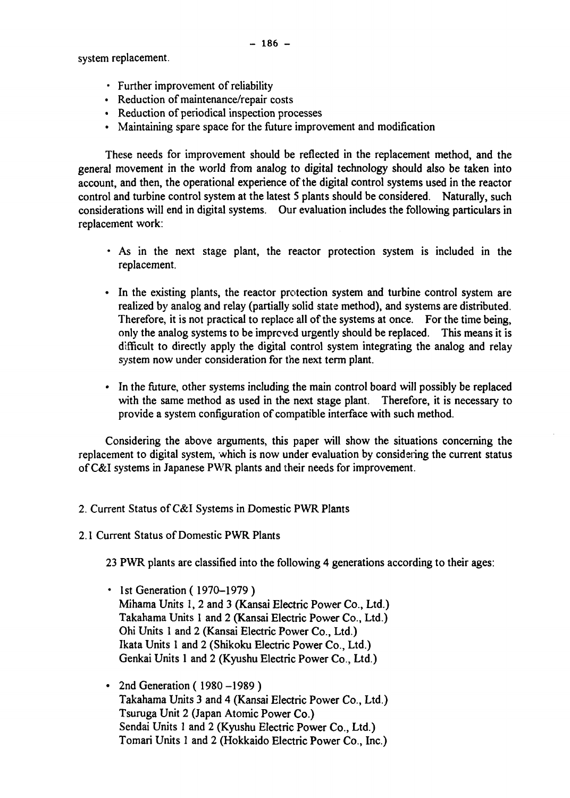system replacement.

- Further improvement of reliability
- Reduction of maintenance/repair costs
- Reduction of periodical inspection processes
- Maintaining spare space for the future improvement and modification

These needs for improvement should be reflected in the replacement method, and the general movement in the world from analog to digital technology should also be taken into account, and then, the operational experience of the digital control systems used in the reactor control and turbine control system at the latest 5 plants should be considered. Naturally, such considerations will end in digital systems. Our evaluation includes the following particulars in replacement work:

- As in the next stage plant, the reactor protection system is included in the replacement.
- In the existing plants, the reactor protection system and turbine control system are realized by analog and relay (partially solid state method), and systems are distributed. Therefore, it is not practical to replace all of the systems at once. For the time being, only the analog systems to be improved urgently should be replaced. This means it is difficult to directly apply the digital control system integrating the analog and relay system now under consideration for the next term plant.
- In the future, other systems including the main control board will possibly be replaced with the same method as used in the next stage plant. Therefore, it is necessary to provide a system configuration of compatible interface with such method.

Considering the above arguments, this paper will show the situations concerning the replacement to digital system, which is now under evaluation by considering the current status of C&I systems in Japanese PWR plants and their needs for improvement.

- 2. Current Status of C&I Systems in Domestic PWR Plants
- 2.1 Current Status of Domestic PWR Plants

23 PWR plants are classified into the following 4 generations according to their ages:

- 1st Generation (1970–1979) Mihama Units 1, 2 and 3 (Kansai Electric Power Co., Ltd.) Takahama Units 1 and 2 (Kansai Electric Power Co., Ltd.) Ohi Units 1 and 2 (Kansai Electric Power Co., Ltd.) Ikata Units 1 and 2 (Shikoku Electric Power Co., Ltd.) Genkai Units 1 and 2 (Kyushu Electric Power Co., Ltd.)
- 2nd Generation (1980 –1989) Takahama Units 3 and 4 (Kansai Electric Power Co., Ltd.) Tsuruga Unit 2 (Japan Atomic Power Co.) Sendai Units 1 and 2 (Kyushu Electric Power Co., Ltd.) Tomari Units 1 and 2 (Hokkaido Electric Power Co., Inc.)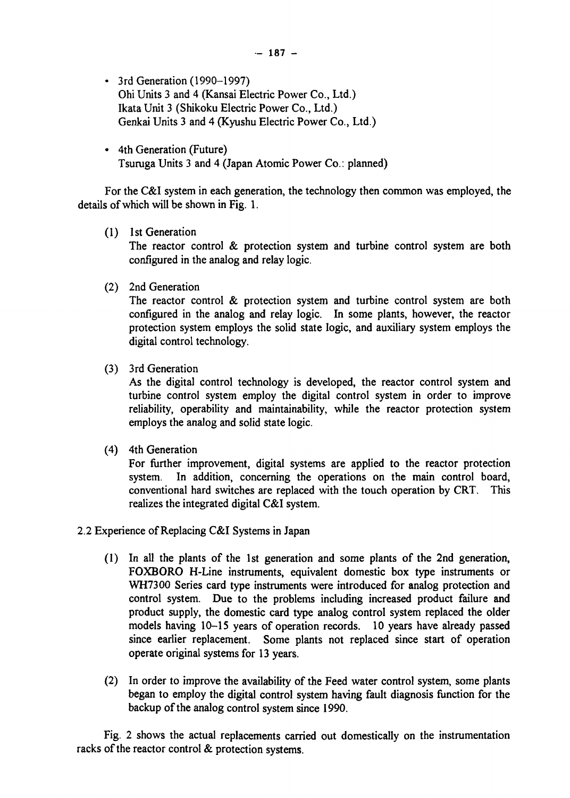- 3rd Generation (1990-1997) Ohi Units 3 and 4 (Kansai Electric Power Co., Ltd.) Ikata Unit 3 (Shikoku Electric Power Co., Ltd.) Genkai Units 3 and 4 (Kyushu Electric Power Co., Ltd.)
- 4th Generation (Future) Tsuruga Units 3 and 4 (Japan Atomic Power Co.: planned)

For the C&I system in each generation, the technology then common was employed, the details of which will be shown in Fig. 1.

(1) 1st Generation

The reactor control & protection system and turbine control system are both configured in the analog and relay logic.

(2) 2nd Generation

The reactor control & protection system and turbine control system are both configured in the analog and relay logic. In some plants, however, the reactor protection system employs the solid state logic, and auxiliary system employs the digital control technology.

(3) 3rd Generation

As the digital control technology is developed, the reactor control system and turbine control system employ the digital control system in order to improve reliability, operability and maintainability, while the reactor protection system employs the analog and solid state logic.

(4) 4th Generation

For further improvement, digital systems are applied to the reactor protection system. In addition, concerning the operations on the main control board, conventional hard switches are replaced with the touch operation by CRT. This realizes the integrated digital C&I system.

- 2.2 Experience of Replacing C&I Systems in Japan
	- (1) In all the plants of the 1st generation and some plants of the 2nd generation, FOXBORO H-Line instruments, equivalent domestic box type instruments or WH7300 Series card type instruments were introduced for analog protection and control system. Due to the problems including increased product failure and product supply, the domestic card type analog control system replaced the older models having 10-15 years of operation records. 10 years have already passed since earlier replacement. Some plants not replaced since start of operation operate original systems for 13 years.
	- (2) In order to improve the availability of the Feed water control system, some plants began to employ the digital control system having fault diagnosis function for the backup of the analog control system since 1990.

Fig. 2 shows the actual replacements carried out domestically on the instrumentation racks of the reactor control & protection systems.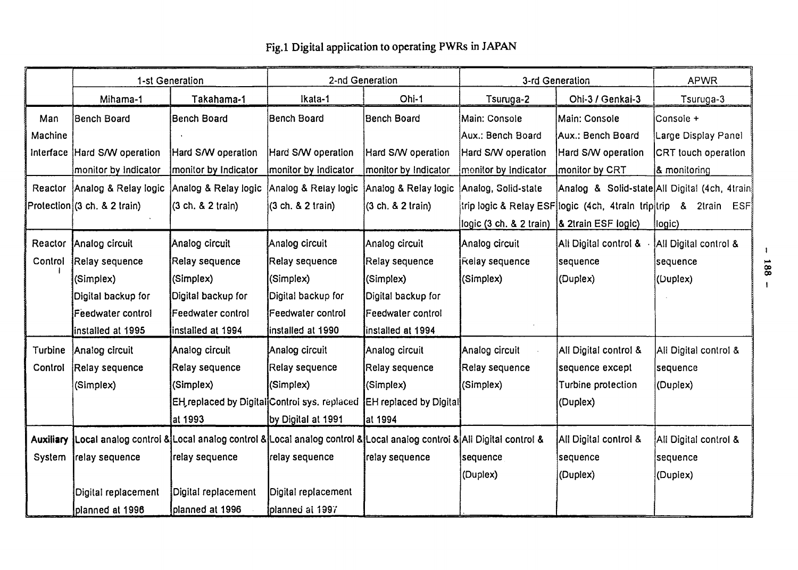|           | 1-st Generation                                                                                                   |                                              | 2-nd Generation       |                               | 3-rd Generation         |                                                                   | <b>APWR</b>                                    |
|-----------|-------------------------------------------------------------------------------------------------------------------|----------------------------------------------|-----------------------|-------------------------------|-------------------------|-------------------------------------------------------------------|------------------------------------------------|
|           | Mihama-1                                                                                                          | Takahama-1                                   | Ikata-1               | Ohi-1                         | Tsuruga-2               | Ohi-3 / Genkai-3                                                  | Tsuruga-3                                      |
| Man       | <b>Bench Board</b>                                                                                                | Bench Board                                  | Bench Board           | <b>Bench Board</b>            | Main: Console           | Main: Console                                                     | Console +                                      |
| Machine   |                                                                                                                   |                                              |                       |                               | Aux.: Bench Board       | Aux.: Bench Board                                                 | Large Display Panel                            |
| Interface | Hard S/W operation                                                                                                | Hard S/W operation                           | Hard S/W operation    | Hard S/W operation            | Hard S/W operation      | Hard S/W operation                                                | CRT touch operation                            |
|           | monitor by Indicator                                                                                              | monitor by Indicator                         | monitor by Indicator  | monitor by Indicator          | monitor by Indicator    | monitor by CRT                                                    | & monitoring                                   |
| Reactor   | Analog & Relay logic                                                                                              | Analog & Relay logic                         | Analog & Relay logic  | Analog & Relay logic          | Analog, Solid-state     |                                                                   | Analog & Solid-state All Digital (4ch, 4train) |
|           | Protection (3 ch. & 2 train)                                                                                      | (3 ch. & 2 train)                            | (3 ch. & 2 train)     | (3 ch. & 2 train)             |                         | trip logic & Relay ESF logic (4ch, 4train trip trip & 2train ESF) |                                                |
|           |                                                                                                                   |                                              |                       |                               | logic (3 ch. & 2 train) | & 2train ESF logic)                                               | logic)                                         |
| Reactor   | Analog circuit                                                                                                    | Analog circuit                               | Analog circuit        | Analog circuit                | Analog circuit          | All Digital control &                                             | All Digital control &                          |
| Control   | Relay sequence                                                                                                    | <b>Relay sequence</b>                        | <b>Relay sequence</b> | Relay sequence                | Relay sequence          | sequence                                                          | sequence                                       |
|           | (Simplex)                                                                                                         | (Simplex)                                    | (Simplex)             | (Simplex)                     | (Simplex)               | (Duplex)                                                          | (Duplex)                                       |
|           | Digital backup for                                                                                                | Digital backup for                           | Digital backup for    | Digital backup for            |                         |                                                                   |                                                |
|           | <b>Feedwater control</b>                                                                                          | Feedwater control                            | Feedwater control     | Feedwater control             |                         |                                                                   |                                                |
|           | installed at 1995                                                                                                 | installed at 1994                            | installed at 1990     | installed at 1994             |                         |                                                                   |                                                |
| Turbine   | Analog circuit                                                                                                    | Analog circuit                               | Analog circuit        | Analog circuit                | Analog circuit          | All Digital control &                                             | All Digital control &                          |
| Control   | Relay sequence                                                                                                    | Relay sequence                               | Relay sequence        | Relay sequence                | Relay sequence          | sequence except                                                   | sequence                                       |
|           | (Simplex)                                                                                                         | (Simplex)                                    | (Simplex)             | (Simplex)                     | (Simplex)               | Turbine protection                                                | (Duplex)                                       |
|           |                                                                                                                   | EH replaced by Digital Control sys. replaced |                       | <b>EH replaced by Digital</b> |                         | (Duplex)                                                          |                                                |
|           |                                                                                                                   | at 1993                                      | by Digital at 1991    | al 1994                       |                         |                                                                   |                                                |
| Auxiliary | Local analog control & Local analog control & Local analog control & Local analog control & All Digital control & |                                              |                       |                               |                         | All Digital control &                                             | All Digital control &                          |
| System    | relay sequence                                                                                                    | relay sequence                               | relay sequence        | relay sequence                | sequence                | sequence                                                          | sequence                                       |
|           |                                                                                                                   |                                              |                       |                               | (Duplex)                | (Duplex)                                                          | (Duplex)                                       |
|           | Digital replacement                                                                                               | Digital replacement                          | Digital replacement   |                               |                         |                                                                   |                                                |
|           | planned at 1996                                                                                                   | planned at 1996                              | planned al 1997       |                               |                         |                                                                   |                                                |

## Fig.l Digital application to operating PWRs in JAPAN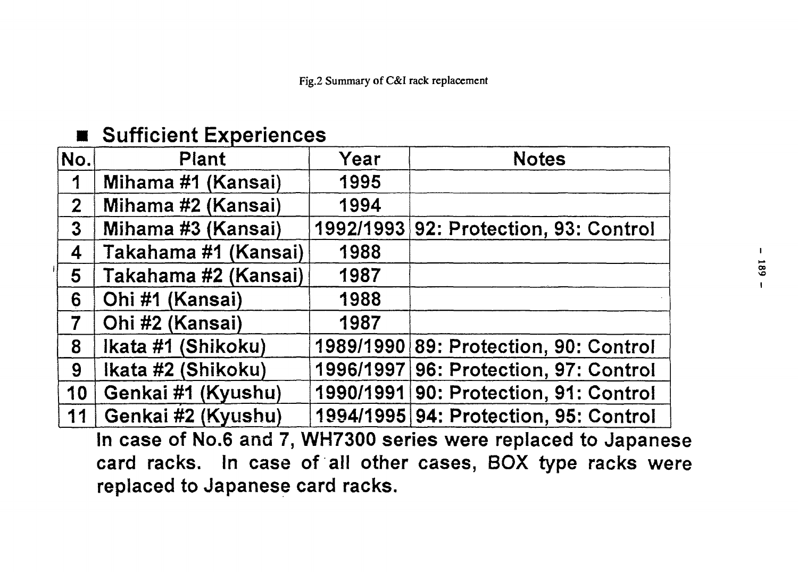# $\blacksquare$  Sufficient Experiences

 $\mathbf{I}$ 

| No.             | Plant                | Year | <b>Notes</b>                          |
|-----------------|----------------------|------|---------------------------------------|
| 1               | Mihama #1 (Kansai)   | 1995 |                                       |
| 2 <sup>1</sup>  | Mihama #2 (Kansai)   | 1994 |                                       |
| $\mathbf 3$     | Mihama #3 (Kansai)   |      | 1992/1993 92: Protection, 93: Control |
| 4               | Takahama #1 (Kansai) | 1988 |                                       |
| $5\overline{)}$ | Takahama #2 (Kansai) | 1987 |                                       |
| 6               | Ohi #1 (Kansai)      | 1988 |                                       |
| 7               | Ohi #2 (Kansai)      | 1987 |                                       |
| 8               | Ikata #1 (Shikoku)   |      | 1989/1990 89: Protection, 90: Control |
| 9               | Ikata #2 (Shikoku)   |      | 1996/1997 96: Protection, 97: Control |
| 10              | Genkai #1 (Kyushu)   |      | 1990/1991 90: Protection, 91: Control |
| 11              | Genkai #2 (Kyushu)   |      | 1994/1995 94: Protection, 95: Control |

**In case of No.6 and 7, WH7300 series were replaced to Japanese card racks. In case of all other cases, BOX type racks were replaced to Japanese card racks.**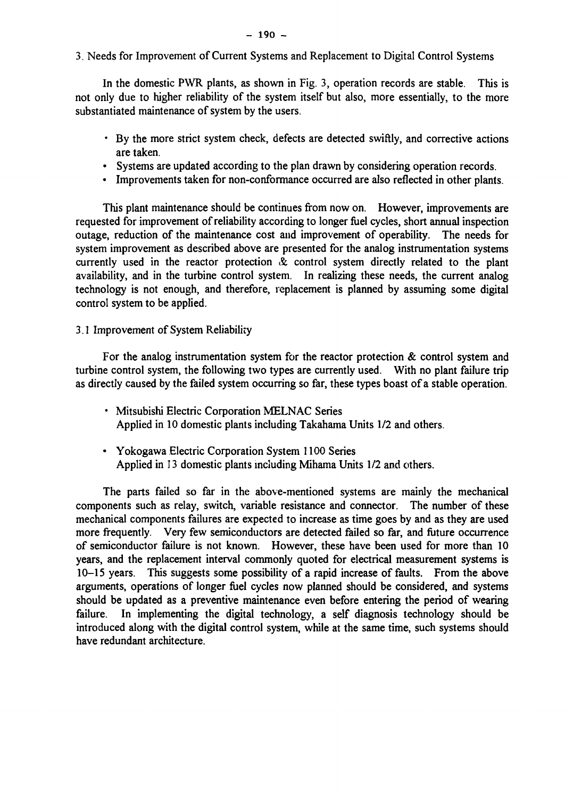3. Needs for Improvement of Current Systems and Replacement to Digital Control Systems

In the domestic PWR plants, as shown in Fig. 3, operation records are stable. This is not only due to higher reliability of the system itself but also, more essentially, to the more substantiated maintenance of system by the users.

- By the more strict system check, defects are detected swiftly, and corrective actions are taken.
- Systems are updated according to the plan drawn by considering operation records.
- Improvements taken for non-conformance occurred are also reflected in other plants.

This plant maintenance should be continues from now on. However, improvements are requested for improvement of reliability according to longer fuel cycles, short annual inspection outage, reduction of the maintenance cost and improvement of operability. The needs for system improvement as described above are presented for the analog instrumentation systems currently used in the reactor protection  $\&$  control system directly related to the plant availability, and in the turbine control system. In realizing these needs, the current analog technology is not enough, and therefore, replacement is planned by assuming some digital control system to be applied.

## 3.1 Improvement of System Reliability

For the analog instrumentation system for the reactor protection  $\&$  control system and turbine control system, the following two types are currently used. With no plant failure trip as directly caused by the failed system occurring so far, these types boast of a stable operation.

- Mitsubishi Electric Corporation MELNAC Series Applied in 10 domestic plants including Takahama Units 1/2 and others.
- Yokogawa Electric Corporation System 1100 Series Applied in 13 domestic plants including Mihama Units 1/2 and others.

The parts failed so far in the above-mentioned systems are mainly the mechanical components such as relay, switch, variable resistance and connector. The number of these mechanical components failures are expected to increase as time goes by and as they are used more frequently. Very few semiconductors are detected failed so far, and future occurrence of semiconductor failure is not known. However, these have been used for more than 10 years, and the replacement interval commonly quoted for electrical measurement systems is 10-15 years. This suggests some possibility of a rapid increase of faults. From the above arguments, operations of longer fuel cycles now planned should be considered, and systems should be updated as a preventive maintenance even before entering the period of wearing failure. In implementing the digital technology, a self diagnosis technology should be introduced along with the digital control system, while at the same time, such systems should have redundant architecture.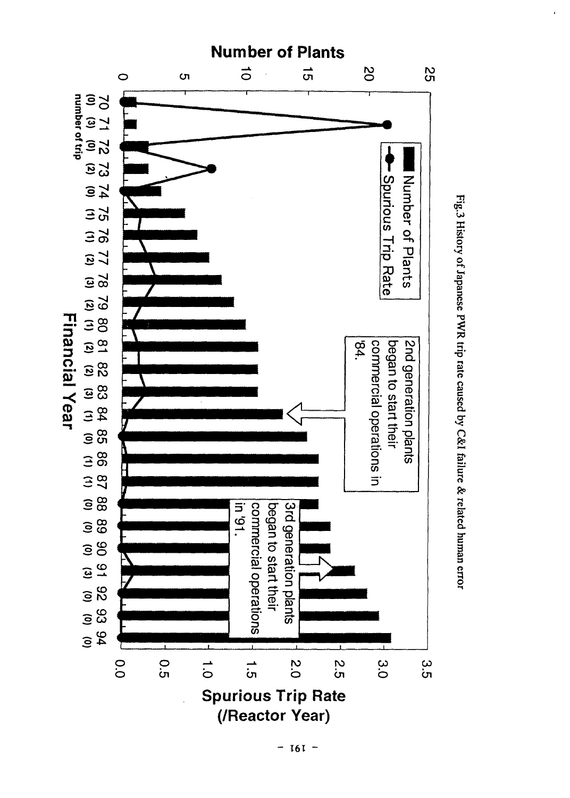

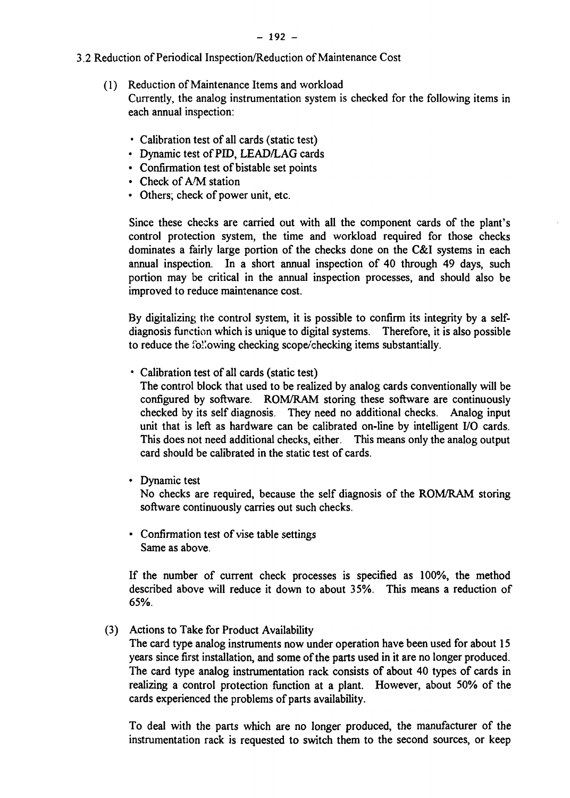- 3.2 Reduction of Periodical Inspection/Reduction of Maintenance Cost
	- (1) Reduction of Maintenance Items and workload Currently, the analog instrumentation system is checked for the following items in each annual inspection:
		- Calibration test of all cards (static test)
		- Dynamic test of PID, LEAD/LAG cards
		- Confirmation test of bistable set points
		- Check of A/M station
		- Others; check of power unit, etc.

Since these checks are carried out with all the component cards of the plant's control protection system, the time and workload required for those checks dominates a fairly large portion of the checks done on the C&I systems in each annual inspection. In a short annual inspection of 40 through 49 days, such portion may be critical in the annual inspection processes, and should also be improved to reduce maintenance cost.

By digitalizing the control system, it is possible to confirm its integrity by a selfdiagnosis function which is unique to digital systems. Therefore, it is also possible to reduce the following checking scope/checking items substantially.

• Calibration test of all cards (static test)

The control block that used to be realized by analog cards conventionally will be configured by software. ROM/RAM storing these software are continuously checked by its self diagnosis. They need no additional checks. Analog input unit that is left as hardware can be calibrated on-line by intelligent I/O cards. This does not need additional checks, either. This means only the analog output card should be calibrated in the static test of cards.

• Dynamic test

No checks are required, because the self diagnosis of the ROM/RAM storing software continuously carries out such checks.

• Confirmation test of vise table settings Same as above.

If the number of current check processes is specified as 100%, the method described above will reduce it down to about 35%. This means a reduction of 65%.

(3) Actions to Take for Product Availability

The card type analog instruments now under operation have been used for about 15 years since first installation, and some of the parts used in it are no longer produced. The card type analog instrumentation rack consists of about 40 types of cards in realizing a control protection function at a plant. However, about 50% of the cards experienced the problems of parts availability.

To deal with the parts which are no longer produced, the manufacturer of the instrumentation rack is requested to switch them to the second sources, or keep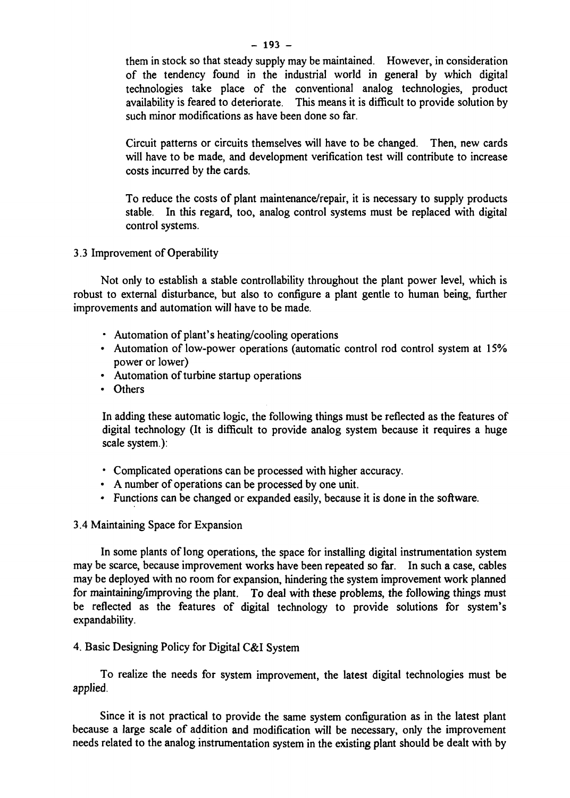them in stock so that steady supply may be maintained. However, in consideration of the tendency found in the industrial world in general by which digital technologies take place of the conventional analog technologies, product availability is feared to deteriorate. This means it is difficult to provide solution by such minor modifications as have been done so far.

Circuit patterns or circuits themselves will have to be changed. Then, new cards will have to be made, and development verification test will contribute to increase costs incurred by the cards.

To reduce the costs of plant maintenance/repair, it is necessary to supply products stable. In this regard, too, analog control systems must be replaced with digital control systems.

3.3 Improvement of Operability

Not only to establish a stable controllability throughout the plant power level, which is robust to external disturbance, but also to configure a plant gentle to human being, further improvements and automation will have to be made.

- Automation of plant's heating/cooling operations
- Automation of low-power operations (automatic control rod control system at 15% power or lower)
- Automation of turbine startup operations
- Others

In adding these automatic logic, the following things must be reflected as the features of digital technology (It is difficult to provide analog system because it requires a huge scale system):

- Complicated operations can be processed with higher accuracy.
- A number of operations can be processed by one unit.
- Functions can be changed or expanded easily, because it is done in the software.

3.4 Maintaining Space for Expansion

In some plants of long operations, the space for installing digital instrumentation system may be scarce, because improvement works have been repeated so far. In such a case, cables may be deployed with no room for expansion, hindering the system improvement work planned for maintaining/improving the plant. To deal with these problems, the following things must be reflected as the features of digital technology to provide solutions for system's expandability.

### 4. Basic Designing Policy for Digital C&I System

To realize the needs for system improvement, the latest digital technologies must be applied.

Since it is not practical to provide the same system configuration as in the latest plant because a large scale of addition and modification will be necessary, only the improvement needs related to the analog instrumentation system in the existing plant should be dealt with by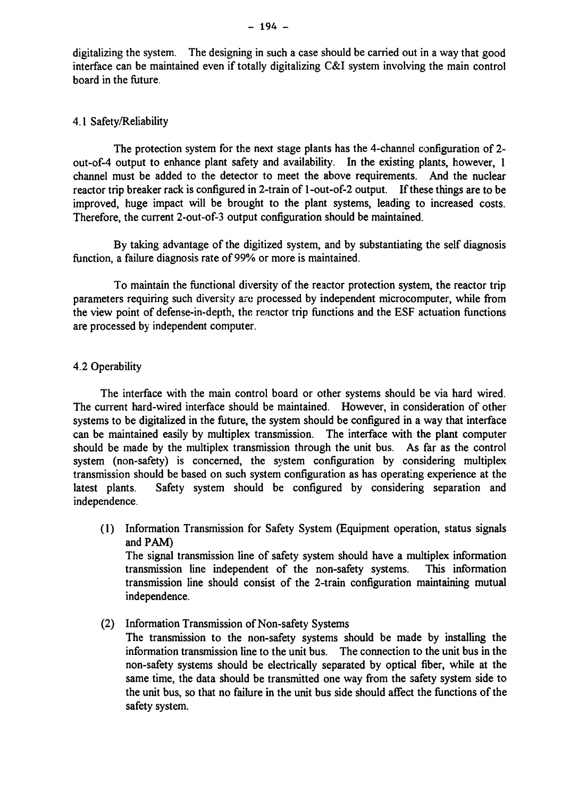## 4.1 Safety/Reliability

The protection system for the next stage plants has the 4-channel configuration of 2 out-of-4 output to enhance plant safety and availability. In the existing plants, however, 1 channel must be added to the detector to meet the above requirements. And the nuclear reactor trip breaker rack is configured in 2-train of 1 -out-of-2 output. If these things are to be improved, huge impact will be brought to the plant systems, leading to increased costs. Therefore, the current 2-out-of-3 output configuration should be maintained.

By taking advantage of the digitized system, and by substantiating the self diagnosis function, a failure diagnosis rate of 99% or more is maintained.

To maintain the functional diversity of the reactor protection system, the reactor trip parameters requiring such diversity are processed by independent microcomputer, while from the view point of defense-in-depth, the reactor trip functions and the ESF actuation functions are processed by independent computer.

## 4.2 Operability

The interface with the main control board or other systems should be via hard wired. The current hard-wired interface should be maintained. However, in consideration of other systems to be digitalized in the future, the system should be configured in a way that interface can be maintained easily by multiplex transmission. The interface with the plant computer should be made by the multiplex transmission through the unit bus. As far as the control system (non-safety) is concerned, the system configuration by considering multiplex transmission should be based on such system configuration as has operating experience at the latest plants. Safety system should be configured by considering separation and independence.

(1) Information Transmission for Safety System (Equipment operation, status signals and PAM) The signal transmission line of safety system should have a multiplex information transmission line independent of the non-safety systems. This information

transmission line should consist of the 2-train configuration maintaining mutual independence.

(2) Information Transmission of Non-safety Systems The transmission to the non-safety systems should be made by installing the information transmission line to the unit bus. The connection to the unit bus in the non-safety systems should be electrically separated by optical fiber, while at the same time, the data should be transmitted one way from the safety system side to the unit bus, so that no failure in the unit bus side should affect the functions of the safety system.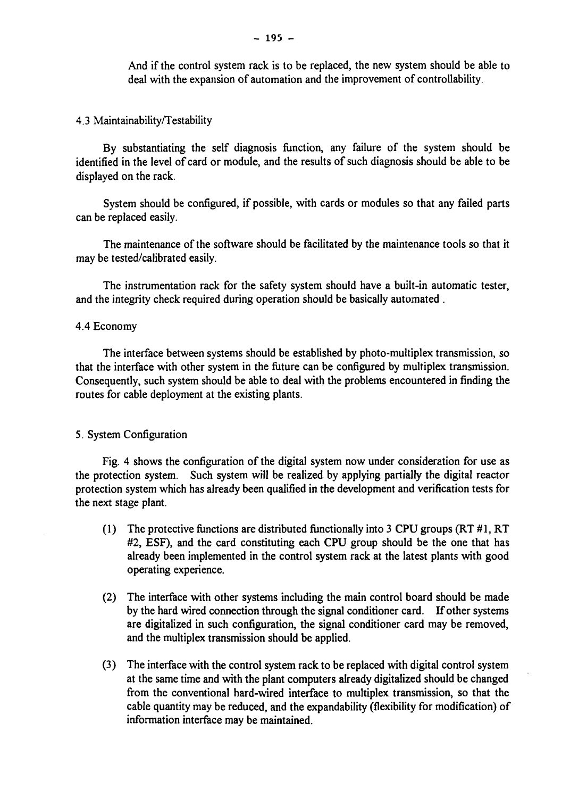And if the control system rack is to be replaced, the new system should be able to deal with the expansion of automation and the improvement of controllability.

4.3 Maintainability/Testability

By substantiating the self diagnosis function, any failure of the system should be identified in the level of card or module, and the results of such diagnosis should be able to be displayed on the rack.

System should be configured, if possible, with cards or modules so that any failed parts can be replaced easily.

The maintenance of the software should be facilitated by the maintenance tools so that it may be tested/calibrated easily.

The instrumentation rack for the safety system should have a built-in automatic tester, and the integrity check required during operation should be basically automated .

#### 4.4 Economy

The interface between systems should be established by photo-multiplex transmission, so that the interface with other system in the future can be configured by multiplex transmission. Consequently, such system should be able to deal with the problems encountered in finding the routes for cable deployment at the existing plants.

#### 5. System Configuration

Fig. 4 shows the configuration of the digital system now under consideration for use as the protection system. Such system will be realized by applying partially the digital reactor protection system which has already been qualified in the development and verification tests for the next stage plant.

- (1) The protective functions are distributed functionally into 3 CPU groups  $(RT \# 1, RT)$ #2, ESF), and the card constituting each CPU group should be the one that has already been implemented in the control system rack at the latest plants with good operating experience.
- (2) The interface with other systems including the main control board should be made by the hard wired connection through the signal conditioner card. If other systems are digitalized in such configuration, the signal conditioner card may be removed, and the multiplex transmission should be applied.
- (3) The interface with the control system rack to be replaced with digital control system at the same time and with the plant computers already digitalized should be changed from the conventional hard-wired interface to multiplex transmission, so that the cable quantity may be reduced, and the expandability (flexibility for modification) of information interface may be maintained.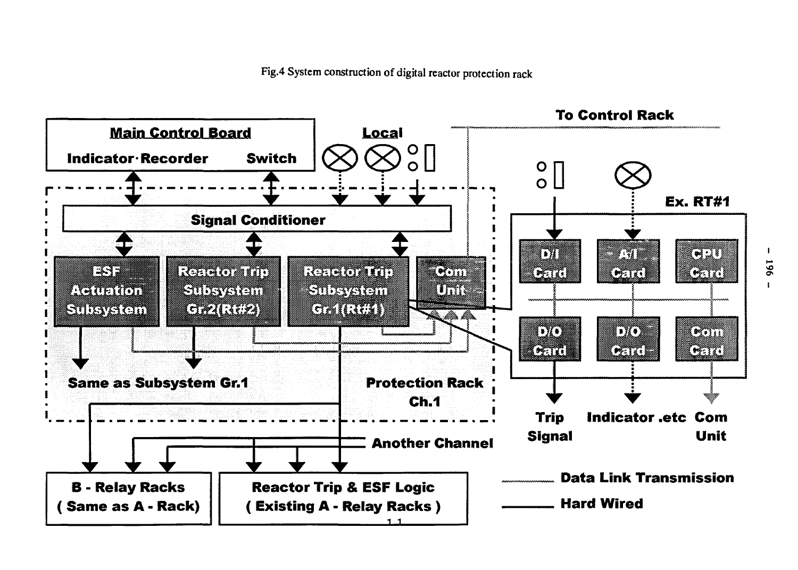Fig.4 System construction of digital reactor protection rack



196

**I**